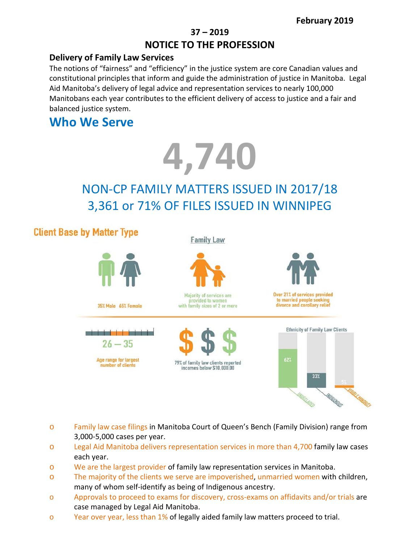### **37 – 2019 NOTICE TO THE PROFESSION**

#### **Delivery of Family Law Services**

The notions of "fairness" and "efficiency" in the justice system are core Canadian values and constitutional principles that inform and guide the administration of justice in Manitoba. Legal Aid Manitoba's delivery of legal advice and representation services to nearly 100,000 Manitobans each year contributes to the efficient delivery of access to justice and a fair and balanced justice system.

## **Who We Serve**



# NON-CP FAMILY MATTERS ISSUED IN 2017/18 3,361 or 71% OF FILES ISSUED IN WINNIPEG

## **Client Base by Matter Type**

#### **Family Law**



- o Family law case filings in Manitoba Court of Queen's Bench (Family Division) range from 3,000-5,000 cases per year.
- o Legal Aid Manitoba delivers representation services in more than 4,700 family law cases each year.
- o We are the largest provider of family law representation services in Manitoba.
- o The majority of the clients we serve are impoverished, unmarried women with children, many of whom self-identify as being of Indigenous ancestry.
- o Approvals to proceed to exams for discovery, cross-exams on affidavits and/or trials are case managed by Legal Aid Manitoba.
- o Year over year, less than 1% of legally aided family law matters proceed to trial.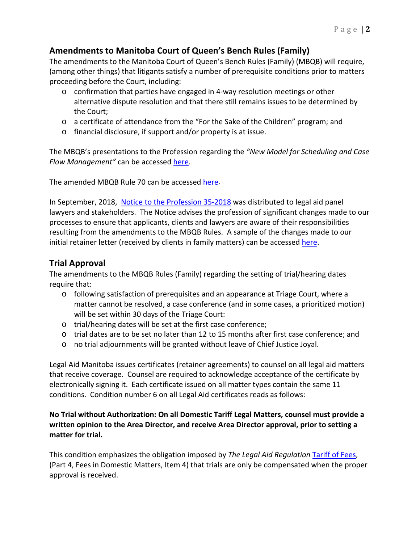#### **Amendments to Manitoba Court of Queen's Bench Rules (Family)**

The amendments to the Manitoba Court of Queen's Bench Rules (Family) (MBQB) will require, (among other things) that litigants satisfy a number of prerequisite conditions prior to matters proceeding before the Court, including:

- $\circ$  confirmation that parties have engaged in 4-way resolution meetings or other alternative dispute resolution and that there still remains issues to be determined by the Court;
- o a certificate of attendance from the "For the Sake of the Children" program; and
- o financial disclosure, if support and/or property is at issue.

The MBQB's presentations to the Profession regarding the *"New Model for Scheduling and Case Flow Management"* can be accesse[d here.](https://cba-mb.ca/Sections/Family-Law/Resources/Webcasts/New-Model-for-Scheduling-and-Case-Flow)

The amended MBQB Rule 70 can be accessed [here.](http://web2.gov.mb.ca/laws/rules/qbr2e.php#r70)

In September, 2018, [Notice to the Profession 35-2018](https://www.legalaid.mb.ca/wp-content/WordPress/PDF/np_35_2018.pdf) was distributed to legal aid panel lawyers and stakeholders. The Notice advises the profession of significant changes made to our processes to ensure that applicants, clients and lawyers are aware of their responsibilities resulting from the amendments to the MBQB Rules. A sample of the changes made to our initial retainer letter (received by clients in family matters) can be accessed [here.](http://www.legalaid.mb.ca:3389/board/Retaining%20Letter.pdf)

#### **Trial Approval**

The amendments to the MBQB Rules (Family) regarding the setting of trial/hearing dates require that:

- o following satisfaction of prerequisites and an appearance at Triage Court, where a matter cannot be resolved, a case conference (and in some cases, a prioritized motion) will be set within 30 days of the Triage Court:
- o trial/hearing dates will be set at the first case conference;
- o trial dates are to be set no later than 12 to 15 months after first case conference; and
- o no trial adjournments will be granted without leave of Chief Justice Joyal.

Legal Aid Manitoba issues certificates (retainer agreements) to counsel on all legal aid matters that receive coverage. Counsel are required to acknowledge acceptance of the certificate by electronically signing it. Each certificate issued on all matter types contain the same 11 conditions. Condition number 6 on all Legal Aid certificates reads as follows:

#### **No Trial without Authorization: On all Domestic Tariff Legal Matters, counsel must provide a written opinion to the Area Director, and receive Area Director approval, prior to setting a matter for trial.**

This condition emphasizes the obligation imposed by *The Legal Aid Regulation* [Tariff of Fees,](https://www.legalaid.mb.ca/wp-content/uploads/2017/03/tariff_2008.pdf) (Part 4, Fees in Domestic Matters, Item 4) that trials are only be compensated when the proper approval is received.